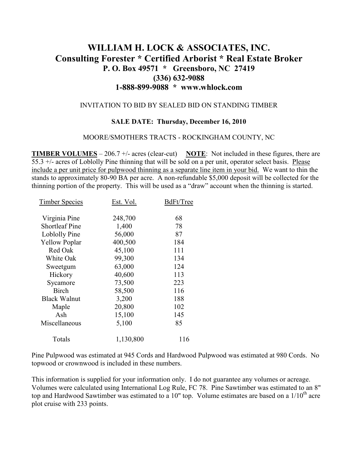# **WILLIAM H. LOCK & ASSOCIATES, INC. Consulting Forester \* Certified Arborist \* Real Estate Broker P. O. Box 49571 \* Greensboro, NC 27419 (336) 632-9088 1-888-899-9088 \* www.whlock.com**

#### INVITATION TO BID BY SEALED BID ON STANDING TIMBER

#### **SALE DATE: Thursday, December 16, 2010**

#### MOORE/SMOTHERS TRACTS - ROCKINGHAM COUNTY, NC

**TIMBER VOLUMES** – 206.7 +/- acres (clear-cut) **NOTE**: Not included in these figures, there are 55.3 +/- acres of Loblolly Pine thinning that will be sold on a per unit, operator select basis. Please include a per unit price for pulpwood thinning as a separate line item in your bid. We want to thin the stands to approximately 80-90 BA per acre. A non-refundable \$5,000 deposit will be collected for the thinning portion of the property. This will be used as a "draw" account when the thinning is started.

| <b>Timber Species</b> | Est. Vol. | BdFt/Tree |
|-----------------------|-----------|-----------|
| Virginia Pine         | 248,700   | 68        |
| <b>Shortleaf Pine</b> | 1,400     | 78        |
| Loblolly Pine         | 56,000    | 87        |
| <b>Yellow Poplar</b>  | 400,500   | 184       |
| Red Oak               | 45,100    | 111       |
| White Oak             | 99,300    | 134       |
| Sweetgum              | 63,000    | 124       |
| Hickory               | 40,600    | 113       |
| Sycamore              | 73,500    | 223       |
| <b>Birch</b>          | 58,500    | 116       |
| <b>Black Walnut</b>   | 3,200     | 188       |
| Maple                 | 20,800    | 102       |
| Ash                   | 15,100    | 145       |
| Miscellaneous         | 5,100     | 85        |
| Totals                | 1,130,800 | 116       |

Pine Pulpwood was estimated at 945 Cords and Hardwood Pulpwood was estimated at 980 Cords. No topwood or crownwood is included in these numbers.

This information is supplied for your information only. I do not guarantee any volumes or acreage. Volumes were calculated using International Log Rule, FC 78. Pine Sawtimber was estimated to an 8" top and Hardwood Sawtimber was estimated to a 10" top. Volume estimates are based on a  $1/10^{th}$  acre plot cruise with 233 points.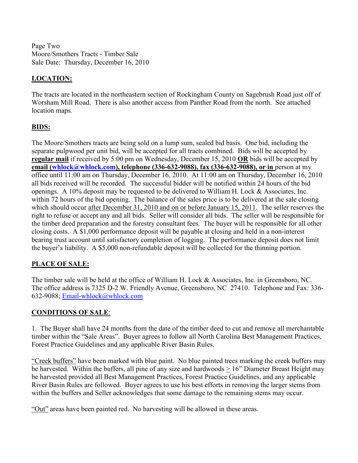Page Two Moore/Smothers Tracts - Timber Sale Sale Date: Thursday, December 16, 2010

### **LOCATION:**

The tracts are located in the northeastern section of Rockingham County on Sagebrush Road just off of Worsham Mill Road. There is also another access from Panther Road from the north. See attached location maps.

## **BIDS:**

The Moore/Smothers tracts are being sold on a lump sum, sealed bid basis. One bid, including the separate pulpwood per unit bid, will be accepted for all tracts combined. Bids will be accepted by **regular mail** if received by 5:00 pm on Wednesday, December 15, 2010 **OR** bids will be accepted by **email (whlock@whlock.com), telephone (336-632-9088), fax (336-632-9088), or in** person at my office until 11:00 am on Thursday, December 16, 2010. At 11:00 am on Thursday, December 16, 2010 all bids received will be recorded. The successful bidder will be notified within 24 hours of the bid openings. A 10% deposit may be requested to be delivered to William H. Lock & Associates, Inc. within 72 hours of the bid opening. The balance of the sales price is to be delivered at the sale closing which should occur after December 31, 2010 and on or before January 15, 2011. The seller reserves the right to refuse or accept any and all bids. Seller will consider all bids. The seller will be responsible for the timber deed preparation and the forestry consultant fees. The buyer will be responsible for all other closing costs. A \$1,000 performance deposit will be payable at closing and held in a non-interest bearing trust account until satisfactory completion of logging. The performance deposit does not limit the buyer's liability. A \$5,000 non-refundable deposit will be collected for the thinning portion.

### **PLACE OF SALE:**

The timber sale will be held at the office of William H. Lock & Associates, Inc. in Greensboro, NC. The office address is 7325 D-2 W. Friendly Avenue, Greensboro, NC 27410. Telephone and Fax: 336- 632-9088; Email-whlock@whlock.com

### **CONDITIONS OF SALE**:

1. The Buyer shall have 24 months from the date of the timber deed to cut and remove all merchantable timber within the "Sale Areas". Buyer agrees to follow all North Carolina Best Management Practices, Forest Practice Guidelines and any applicable River Basin Rules.

"Creek buffers" have been marked with blue paint. No blue painted trees marking the creek buffers may be harvested. Within the buffers, all pine of any size and hardwoods > 16" Diameter Breast Height may be harvested provided all Best Management Practices, Forest Practice Guidelines, and any applicable River Basin Rules are followed. Buyer agrees to use his best efforts in removing the larger stems from within the buffers and Seller acknowledges that some damage to the remaining stems may occur.

"Out" areas have been painted red. No harvesting will be allowed in these areas.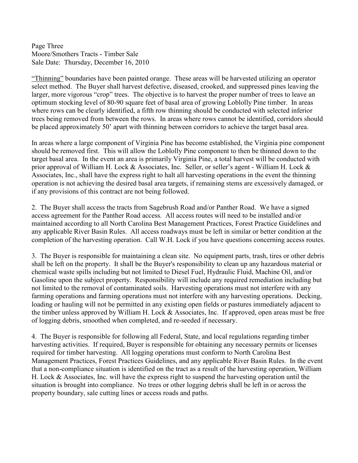Page Three Moore/Smothers Tracts - Timber Sale Sale Date: Thursday, December 16, 2010

"Thinning" boundaries have been painted orange. These areas will be harvested utilizing an operator select method. The Buyer shall harvest defective, diseased, crooked, and suppressed pines leaving the larger, more vigorous "crop" trees. The objective is to harvest the proper number of trees to leave an optimum stocking level of 80-90 square feet of basal area of growing Loblolly Pine timber. In areas where rows can be clearly identified, a fifth row thinning should be conducted with selected inferior trees being removed from between the rows. In areas where rows cannot be identified, corridors should be placed approximately 50' apart with thinning between corridors to achieve the target basal area.

In areas where a large component of Virginia Pine has become established, the Virginia pine component should be removed first. This will allow the Loblolly Pine component to then be thinned down to the target basal area. In the event an area is primarily Virginia Pine, a total harvest will be conducted with prior approval of William H. Lock & Associates, Inc. Seller, or seller's agent - William H. Lock & Associates, Inc., shall have the express right to halt all harvesting operations in the event the thinning operation is not achieving the desired basal area targets, if remaining stems are excessively damaged, or if any provisions of this contract are not being followed.

2. The Buyer shall access the tracts from Sagebrush Road and/or Panther Road. We have a signed access agreement for the Panther Road access. All access routes will need to be installed and/or maintained according to all North Carolina Best Management Practices, Forest Practice Guidelines and any applicable River Basin Rules. All access roadways must be left in similar or better condition at the completion of the harvesting operation. Call W.H. Lock if you have questions concerning access routes.

3. The Buyer is responsible for maintaining a clean site. No equipment parts, trash, tires or other debris shall be left on the property. It shall be the Buyer's responsibility to clean up any hazardous material or chemical waste spills including but not limited to Diesel Fuel, Hydraulic Fluid, Machine Oil, and/or Gasoline upon the subject property. Responsibility will include any required remediation including but not limited to the removal of contaminated soils. Harvesting operations must not interfere with any farming operations and farming operations must not interfere with any harvesting operations. Decking, loading or hauling will not be permitted in any existing open fields or pastures immediately adjacent to the timber unless approved by William H. Lock & Associates, Inc. If approved, open areas must be free of logging debris, smoothed when completed, and re-seeded if necessary.

4. The Buyer is responsible for following all Federal, State, and local regulations regarding timber harvesting activities. If required, Buyer is responsible for obtaining any necessary permits or licenses required for timber harvesting. All logging operations must conform to North Carolina Best Management Practices, Forest Practices Guidelines, and any applicable River Basin Rules. In the event that a non-compliance situation is identified on the tract as a result of the harvesting operation, William H. Lock & Associates, Inc. will have the express right to suspend the harvesting operation until the situation is brought into compliance. No trees or other logging debris shall be left in or across the property boundary, sale cutting lines or access roads and paths.